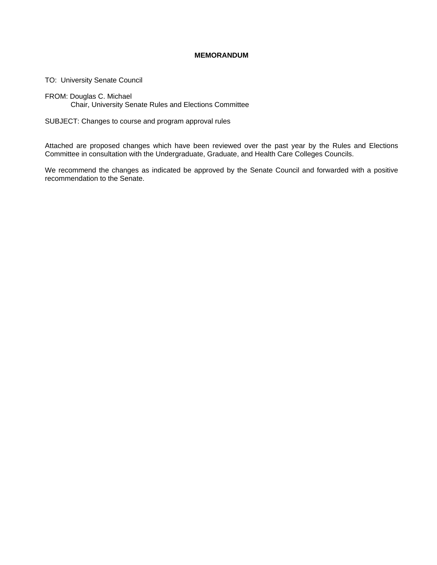#### **MEMORANDUM**

TO: University Senate Council

FROM: Douglas C. Michael Chair, University Senate Rules and Elections Committee

SUBJECT: Changes to course and program approval rules

Attached are proposed changes which have been reviewed over the past year by the Rules and Elections Committee in consultation with the Undergraduate, Graduate, and Health Care Colleges Councils.

We recommend the changes as indicated be approved by the Senate Council and forwarded with a positive recommendation to the Senate.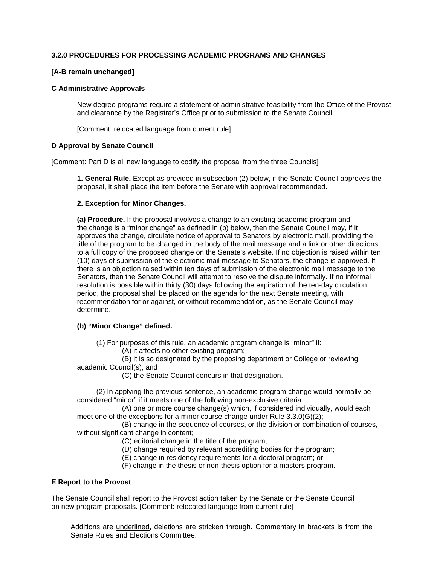# **3.2.0 PROCEDURES FOR PROCESSING ACADEMIC PROGRAMS AND CHANGES**

#### **[A-B remain unchanged]**

#### **C Administrative Approvals**

New degree programs require a statement of administrative feasibility from the Office of the Provost and clearance by the Registrar's Office prior to submission to the Senate Council.

[Comment: relocated language from current rule]

## **D Approval by Senate Council**

[Comment: Part D is all new language to codify the proposal from the three Councils]

**1. General Rule.** Except as provided in subsection (2) below, if the Senate Council approves the proposal, it shall place the item before the Senate with approval recommended.

## **2. Exception for Minor Changes.**

**(a) Procedure.** If the proposal involves a change to an existing academic program and the change is a "minor change" as defined in (b) below, then the Senate Council may, if it approves the change, circulate notice of approval to Senators by electronic mail, providing the title of the program to be changed in the body of the mail message and a link or other directions to a full copy of the proposed change on the Senate's website. If no objection is raised within ten (10) days of submission of the electronic mail message to Senators, the change is approved. If there is an objection raised within ten days of submission of the electronic mail message to the Senators, then the Senate Council will attempt to resolve the dispute informally. If no informal resolution is possible within thirty (30) days following the expiration of the ten-day circulation period, the proposal shall be placed on the agenda for the next Senate meeting, with recommendation for or against, or without recommendation, as the Senate Council may determine.

## **(b) "Minor Change" defined.**

(1) For purposes of this rule, an academic program change is "minor" if:

(A) it affects no other existing program;

 (B) it is so designated by the proposing department or College or reviewing academic Council(s); and

(C) the Senate Council concurs in that designation.

 (2) In applying the previous sentence, an academic program change would normally be considered "minor" if it meets one of the following non-exclusive criteria:

 (A) one or more course change(s) which, if considered individually, would each meet one of the exceptions for a minor course change under Rule 3.3.0(G)(2);

 (B) change in the sequence of courses, or the division or combination of courses, without significant change in content;

- (C) editorial change in the title of the program;
- (D) change required by relevant accrediting bodies for the program;
- (E) change in residency requirements for a doctoral program; or
- (F) change in the thesis or non-thesis option for a masters program.

#### **E Report to the Provost**

The Senate Council shall report to the Provost action taken by the Senate or the Senate Council on new program proposals. [Comment: relocated language from current rule]

Additions are underlined, deletions are stricken through. Commentary in brackets is from the Senate Rules and Elections Committee.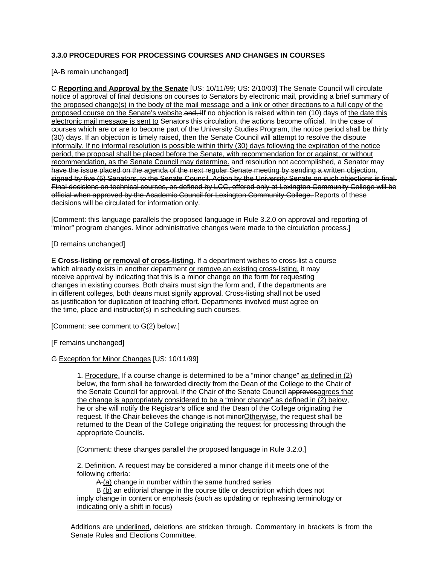# **3.3.0 PROCEDURES FOR PROCESSING COURSES AND CHANGES IN COURSES**

[A-B remain unchanged]

C **Reporting and Approval by the Senate** [US: 10/11/99; US: 2/10/03] The Senate Council will circulate notice of approval of final decisions on courses to Senators by electronic mail, providing a brief summary of the proposed change(s) in the body of the mail message and a link or other directions to a full copy of the proposed course on the Senate's website. and, ilf no objection is raised within ten (10) days of the date this electronic mail message is sent to Senators this circulation, the actions become official. In the case of courses which are or are to become part of the University Studies Program, the notice period shall be thirty (30) days. If an objection is timely raised, then the Senate Council will attempt to resolve the dispute informally. If no informal resolution is possible within thirty (30) days following the expiration of the notice period, the proposal shall be placed before the Senate, with recommendation for or against, or without recommendation, as the Senate Council may determine. and resolution not accomplished, a Senator may have the issue placed on the agenda of the next regular Senate meeting by sending a written objection, signed by five (5) Senators, to the Senate Council. Action by the University Senate on such objections is final. Final decisions on technical courses, as defined by LCC, offered only at Lexington Community College will be official when approved by the Academic Council for Lexington Community College. Reports of these decisions will be circulated for information only.

[Comment: this language parallels the proposed language in Rule 3.2.0 on approval and reporting of "minor" program changes. Minor administrative changes were made to the circulation process.]

[D remains unchanged]

E **Cross-listing or removal of cross-listing.** If a department wishes to cross-list a course which already exists in another department or remove an existing cross-listing, it may receive approval by indicating that this is a minor change on the form for requesting changes in existing courses. Both chairs must sign the form and, if the departments are in different colleges, both deans must signify approval. Cross-listing shall not be used as justification for duplication of teaching effort. Departments involved must agree on the time, place and instructor(s) in scheduling such courses.

[Comment: see comment to G(2) below.]

[F remains unchanged]

#### G Exception for Minor Changes [US: 10/11/99]

1. Procedure. If a course change is determined to be a "minor change" as defined in (2) below, the form shall be forwarded directly from the Dean of the College to the Chair of the Senate Council for approval. If the Chair of the Senate Council approvesagrees that the change is appropriately considered to be a "minor change" as defined in (2) below, he or she will notify the Registrar's office and the Dean of the College originating the request. If the Chair believes the change is not minor Otherwise, the request shall be returned to the Dean of the College originating the request for processing through the appropriate Councils.

[Comment: these changes parallel the proposed language in Rule 3.2.0.]

2. Definition. A request may be considered a minor change if it meets one of the following criteria:

A (a) change in number within the same hundred series

B (b) an editorial change in the course title or description which does not imply change in content or emphasis (such as updating or rephrasing terminology or indicating only a shift in focus)

Additions are underlined, deletions are stricken through. Commentary in brackets is from the Senate Rules and Elections Committee.